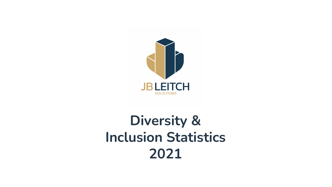

## **Diversity & Inclusion Statistics 2021**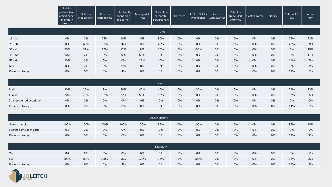|                   | Solicitor<br>partner (sole<br>practitioner /<br>member/<br>director) | Solicitor<br>(not partner) | Other fee<br>earning role | Role directly<br>supporting<br>fee earner | Managerial<br>Role | IT/HR/Other<br>corporate<br>services role | Barrister | FCILEx/CILEx<br>Practitioner | Licensed<br>Conveyancer | Patent or<br>Trade Mark<br>Attorney | Costs Lawyer | Notary | Prefer not to<br>say | Whole<br>Firm |
|-------------------|----------------------------------------------------------------------|----------------------------|---------------------------|-------------------------------------------|--------------------|-------------------------------------------|-----------|------------------------------|-------------------------|-------------------------------------|--------------|--------|----------------------|---------------|
|                   |                                                                      |                            |                           |                                           |                    | Age                                       |           |                              |                         |                                     |              |        |                      |               |
|                   |                                                                      |                            |                           |                                           |                    |                                           |           |                              |                         |                                     |              |        |                      |               |
| $16 - 24$         | 0%                                                                   | 0%                         | 25%                       | 48%                                       | 0%                 | 30%                                       | 0%        | 0%                           | 0%                      | 0%                                  | 0%           | 0%     | 29%                  | 23%           |
| $25 - 34$         | 0%                                                                   | 63%                        | 50%                       | 36%                                       | 8%                 | 45%                                       | 0%        | 0%                           | 0%                      | 0%                                  | 0%           | 0%     | 43%                  | 39%           |
| 35 - 44           | 20%                                                                  | 31%                        | 17%                       | 12%                                       | 8%                 | 10%                                       | 0%        | 100%                         | 0%                      | 0%                                  | 0%           | 0%     | 0%                   | 15%           |
| 45 - 54           | 60%                                                                  | 6%                         | 8%                        | 0%                                        | 50%                | 0%                                        | 0%        | 0%                           | 0%                      | 0%                                  | 0%           | 0%     | 0%                   | 11%           |
| 55 - 64           | 20%                                                                  | 0%                         | 0%                        | 0%                                        | 25%                | 10%                                       | 0%        | 0%                           | 0%                      | 0%                                  | 0%           | 0%     | 14%                  | 7%            |
| $65+$             | 0%                                                                   | 0%                         | 0%                        | 0%                                        | 8%                 | 0%                                        | 0%        | 0%                           | 0%                      | 0%                                  | 0%           | 0%     | 0%                   | 1%            |
| Prefer not to say | 0%                                                                   | 0%                         | 0%                        | 4%                                        | 0%                 | 5%                                        | 0%        | 0%                           | 0%                      | 0%                                  | 0%           | 0%     | 14%                  | 3%            |

|                             |     |     |     |     |     | Gender |    |      |    |    |    |    |     |     |
|-----------------------------|-----|-----|-----|-----|-----|--------|----|------|----|----|----|----|-----|-----|
| Male                        | 80% | 25% | 8%  | 28% | 42% | 40%    | 0% | 100% | 0% | 0% | 0% | 0% | 29% | 33% |
| Female                      | 20% | 75% | 92% | 72% | 58% | 55%    | 0% | 0%   | 0% | 0% | 0% | 0% | 57% | 65% |
| Other preferred description | 0%  | 0%  | 0%  | 0%  | 0%  | 0%     | 0% | 0%   | 0% | 0% | 0% | 0% | 0%  | 0%  |
| Prefer not to say           | 0%  | 0%  | 0%  | 0%  | 0%  | 5%     | 0% | 0%   | 0% | 0% | 0% | 0% | 14% | 2%  |

|                          |      |      |      |      |      | Gender Identity |    |      |    |    |    |    |     |     |
|--------------------------|------|------|------|------|------|-----------------|----|------|----|----|----|----|-----|-----|
| Same as at birth         | 100% | 100% | 100% | 100% | 100% | 95%             | 0% | 100% | 0% | 0% | 0% | 0% | 86% | 98% |
| Not the same as at birth | 0%   | 0%   | 0%   | 0%   | 0%   | 0%              | 0% | 0%   | 0% | 0% | 0% | 0% | 0%  | 0%  |
| Prefer not to say        | 0%   | 0%   | 0%   | 0%   | 0%   | 5%              | 0% | 0%   | 0% | 0% | 0% | 0% | 14% | 2%  |

|                   |      |     |      |     |      | Disability |    |      |    |    |    |    |     |     |
|-------------------|------|-----|------|-----|------|------------|----|------|----|----|----|----|-----|-----|
| Yes               | 0%   | 6%  | 0%   | 0%  | 0%   | 0%         | 0% | 0%   | 0% | 0% | 0% | 0% | 0%  | 1%  |
| No                | 100% | 88% | 100% | 96% | 100% | 95%        | 0% | 100% | 0% | 0% | 0% | 0% | 86% | 95% |
| Prefer not to say | 0%   | 6%  | 0%   | 4%  | 0%   | 5%         | 0% | 0%   | 0% | 0% | 0% | 0% | 14% | 4%  |

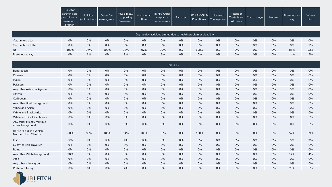| Solicitor                                 |                                              |           |                                           |                           |                                                    |           |                                       |                                        |                       |                            |        |                      |               |
|-------------------------------------------|----------------------------------------------|-----------|-------------------------------------------|---------------------------|----------------------------------------------------|-----------|---------------------------------------|----------------------------------------|-----------------------|----------------------------|--------|----------------------|---------------|
| partner (sole<br>practitioner /<br>member | Solicitor<br>l (not partner) I earning role. | Other fee | Role directly<br>supporting<br>tee earner | <b>Managerial</b><br>Role | <b>IT/HR/Other</b><br>corporate<br>services role l | Barrister | FCILE <sub>x</sub> /CILE <sub>x</sub> | Licensed<br>Practitioner   Conveyancer | Patent or<br>Attorney | Trade Mark I Costs LawverI | Notary | Prefer not to<br>say | Whole<br>Firm |
| director)                                 |                                              |           |                                           |                           |                                                    |           |                                       |                                        |                       |                            |        |                      |               |

|                       |      |     |      |     |     |     | Day-to-day activities limited due to health problem or disability |      |    |    |    |    |     |     |
|-----------------------|------|-----|------|-----|-----|-----|-------------------------------------------------------------------|------|----|----|----|----|-----|-----|
| Yes, limited a lot    | 0%   | 0%  | 0%   | 0%  | 0%  | 0%  | 0%                                                                | 0%   | 0% | 0% | 0% | 0% | 0%  | 0%  |
| Yes, limited a little | 0%   | 0%  | 0%   | 0%  | 8%  | 5%  | 0%                                                                | 0%   | 0% | 0% | 0% | 0% | 0%  | 2%  |
| <b>No</b>             | 100% | 94% | 100% | 92% | 92% | 90% | 0%                                                                | 100% | 0% | 0% | 0% | 0% | 86% | 93% |
| Prefer not to say     | 0%   | 6%  | 0%   | 8%  | 0%  | 5%  | 0%                                                                | 0%   | 0% | 0% | 0% | 0% | 14% | 5%  |

|                                                          |     |     |      |     |      |     | Ethnicity |      |    |    |    |    |     |     |
|----------------------------------------------------------|-----|-----|------|-----|------|-----|-----------|------|----|----|----|----|-----|-----|
| Bangladeshi                                              | 0%  | 0%  | 0%   | 0%  | 0%   | 0%  | 0%        | 0%   | 0% | 0% | 0% | 0% | 0%  | 0%  |
| Chinese                                                  | 0%  | 0%  | 0%   | 0%  | 0%   | 0%  | 0%        | 0%   | 0% | 0% | 0% | 0% | 0%  | 0%  |
| Indian                                                   | 0%  | 0%  | 0%   | 0%  | 0%   | 0%  | 0%        | 0%   | 0% | 0% | 0% | 0% | 0%  | 0%  |
| Pakistani                                                | 0%  | 0%  | 0%   | 0%  | 0%   | 0%  | 0%        | 0%   | 0% | 0% | 0% | 0% | 0%  | 0%  |
| Any other Asian background                               | 0%  | 0%  | 0%   | 0%  | 0%   | 0%  | 0%        | 0%   | 0% | 0% | 0% | 0% | 0%  | 0%  |
| African                                                  | 0%  | 0%  | 0%   | 0%  | 0%   | 0%  | 0%        | 0%   | 0% | 0% | 0% | 0% | 0%  | 0%  |
| Caribbean                                                | 0%  | 0%  | 0%   | 0%  | 0%   | 0%  | 0%        | 0%   | 0% | 0% | 0% | 0% | 0%  | 0%  |
| Any other Black background                               | 0%  | 0%  | 0%   | 0%  | 0%   | 0%  | 0%        | 0%   | 0% | 0% | 0% | 0% | 0%  | 0%  |
| White and Asian                                          | 0%  | 0%  | 0%   | 0%  | 0%   | 0%  | 0%        | 0%   | 0% | 0% | 0% | 0% | 0%  | 0%  |
| White and Black African                                  | 0%  | 0%  | 0%   | 0%  | 0%   | 0%  | 0%        | 0%   | 0% | 0% | 0% | 0% | 0%  | 0%  |
| White and Black Caribbean                                | 0%  | 0%  | 0%   | 0%  | 0%   | 0%  | 0%        | 0%   | 0% | 0% | 0% | 0% | 0%  | 0%  |
| Any other Mixed / multiple<br>ethnic background          | 0%  | 0%  | 0%   | 0%  | 0%   | 0%  | 0%        | 0%   | 0% | 0% | 0% | 0% | 0%  | 0%  |
| British / English / Welsh /<br>Northern Irish / Scottish | 80% | 88% | 100% | 84% | 100% | 95% | 0%        | 100% | 0% | 0% | 0% | 0% | 57% | 89% |
| Irish                                                    | 0%  | 6%  | 0%   | 4%  | 0%   | 0%  | 0%        | 0%   | 0% | 0% | 0% | 0% | 0%  | 2%  |
| Gypsy or Irish Traveller                                 | 0%  | 0%  | 0%   | 0%  | 0%   | 0%  | 0%        | 0%   | 0% | 0% | 0% | 0% | 0%  | 0%  |
| Roma                                                     | 0%  | 0%  | 0%   | 0%  | 0%   | 0%  | 0%        | 0%   | 0% | 0% | 0% | 0% | 0%  | 0%  |
| Any other White background                               | 20% | 0%  | 0%   | 8%  | 0%   | 0%  | 0%        | 0%   | 0% | 0% | 0% | 0% | 14% | 4%  |
| Arab                                                     | 0%  | 0%  | 0%   | 0%  | 0%   | 0%  | 0%        | 0%   | 0% | 0% | 0% | 0% | 0%  | 0%  |
| Any other ethnic group                                   | 0%  | 0%  | 0%   | 0%  | 0%   | 0%  | 0%        | 0%   | 0% | 0% | 0% | 0% | 0%  | 0%  |
| Prefer not to say                                        | 0%  | 6%  | 0%   | 4%  | 0%   | 5%  | 0%        | 0%   | 0% | 0% | 0% | 0% | 29% | 5%  |

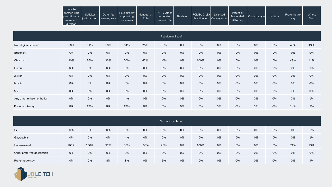| Solicitor                                               |                                             |           |                                           |                    |                                             |                  |                      |                                      |                       |                           |        |                      |                      |
|---------------------------------------------------------|---------------------------------------------|-----------|-------------------------------------------|--------------------|---------------------------------------------|------------------|----------------------|--------------------------------------|-----------------------|---------------------------|--------|----------------------|----------------------|
| partner (sole<br>practitioner /<br>member/<br>director) | Solicitor<br>l (not partner)   earning role | Other fee | Role directly<br>supporting<br>tee earner | Managerial<br>Role | IT/HR/Other I<br>corporate<br>services role | <b>Barrister</b> | <b>TECILEX CILEX</b> | Licensed<br>Practitioner Conveyancer | Patent or<br>Attornev | Trade Mark   Costs Lawyer | Notary | Prefer not to<br>say | Whole<br><b>Firm</b> |

|                              |     |     |     |     |     | Religion or Belief |    |      |    |    |    |    |     |     |
|------------------------------|-----|-----|-----|-----|-----|--------------------|----|------|----|----|----|----|-----|-----|
| No religion or belief        | 60% | 31% | 58% | 64% | 25% | 55%                | 0% | 0%   | 0% | 0% | 0% | 0% | 43% | 49% |
| <b>Buddhist</b>              | 0%  | 0%  | 0%  | 0%  | 0%  | 0%                 | 0% | 0%   | 0% | 0% | 0% | 0% | 0%  | 0%  |
| Christian                    | 40% | 56% | 33% | 20% | 67% | 40%                | 0% | 100% | 0% | 0% | 0% | 0% | 43% | 41% |
| Hindu                        | 0%  | 0%  | 0%  | 0%  | 0%  | 0%                 | 0% | 0%   | 0% | 0% | 0% | 0% | 0%  | 0%  |
| Jewish                       | 0%  | 0%  | 0%  | 0%  | 0%  | 0%                 | 0% | 0%   | 0% | 0% | 0% | 0% | 0%  | 0%  |
| Muslim                       | 0%  | 0%  | 0%  | 0%  | 0%  | 0%                 | 0% | 0%   | 0% | 0% | 0% | 0% | 0%  | 0%  |
| Sikh                         | 0%  | 0%  | 0%  | 0%  | 0%  | 0%                 | 0% | 0%   | 0% | 0% | 0% | 0% | 0%  | 0%  |
| Any other religion or belief | 0%  | 0%  | 0%  | 4%  | 0%  | 0%                 | 0% | 0%   | 0% | 0% | 0% | 0% | 0%  | 1%  |
| Prefer not to say            | 0%  | 13% | 8%  | 12% | 8%  | 5%                 | 0% | 0%   | 0% | 0% | 0% | 0% | 14% | 9%  |

|                             |      |      |     |     |      | Sexual Orientation |    |      |    |    |    |    |     |     |
|-----------------------------|------|------|-----|-----|------|--------------------|----|------|----|----|----|----|-----|-----|
| Bi                          | 0%   | 0%   | 0%  | 0%  | 0%   | 0%                 | 0% | 0%   | 0% | 0% | 0% | 0% | 0%  | 0%  |
| Gay/Lesbian                 | 0%   | 0%   | 0%  | 4%  | 0%   | 0%                 | 0% | 0%   | 0% | 0% | 0% | 0% | 0%  | 1%  |
| Heterosexual                | 100% | 100% | 92% | 88% | 100% | 95%                | 0% | 100% | 0% | 0% | 0% | 0% | 71% | 93% |
| Other preferred description | 0%   | 0%   | 0%  | 0%  | 0%   | 0%                 | 0% | 0%   | 0% | 0% | 0% | 0% | 0%  | 0%  |
| Prefer not to say           | 0%   | 0%   | 8%  | 8%  | 0%   | 5%                 | 0% | 0%   | 0% | 0% | 0% | 0% | 0%  | 4%  |

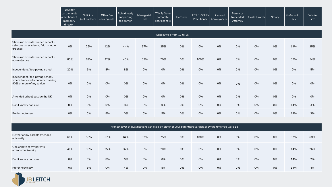| Solicitor<br>partner (sole<br>practitioner /<br>member<br>director) | Solicitor<br>(not partner) | Other fee<br>I earning role | Role directly<br>supporting<br>tee earner | Managerial<br>Role | IT/HR/Other I<br>corporate<br>services role | <b>Barrister</b> | FCILEx/CILEx<br>Practitioner | Licensed<br>Conveyancer | Patent or<br>$\sim$<br><b>Trade Mark</b><br>Attornev | Costs Lawver | Notary | Prefer not to<br>say | <b>Whole</b><br>Firm. |
|---------------------------------------------------------------------|----------------------------|-----------------------------|-------------------------------------------|--------------------|---------------------------------------------|------------------|------------------------------|-------------------------|------------------------------------------------------|--------------|--------|----------------------|-----------------------|
|---------------------------------------------------------------------|----------------------------|-----------------------------|-------------------------------------------|--------------------|---------------------------------------------|------------------|------------------------------|-------------------------|------------------------------------------------------|--------------|--------|----------------------|-----------------------|

|                                                                                                      |     |     |     |     |     | School type from 11 to 16 |    |      |    |    |    |    |     |     |
|------------------------------------------------------------------------------------------------------|-----|-----|-----|-----|-----|---------------------------|----|------|----|----|----|----|-----|-----|
| State-run or state-funded school -<br>selective on academic, faith or other<br>grounds               | 0%  | 25% | 42% | 44% | 67% | 25%                       | 0% | 0%   | 0% | 0% | 0% | 0% | 14% | 35% |
| State-run or state-funded school -<br>non-selective                                                  | 80% | 69% | 42% | 40% | 33% | 70%                       | 0% | 100% | 0% | 0% | 0% | 0% | 57% | 54% |
| Independent / fee-paying school                                                                      | 20% | 6%  | 8%  | 8%  | 0%  | 0%                        | 0% | 0%   | 0% | 0% | 0% | 0% | 0%  | 5%  |
| Independent / fee-paying school,<br>where I received a bursary covering<br>90% or more of my tuition | 0%  | 0%  | 0%  | 0%  | 0%  | 0%                        | 0% | 0%   | 0% | 0% | 0% | 0% | 0%  | 0%  |
| Attended school outside the UK                                                                       | 0%  | 0%  | 0%  | 0%  | 0%  | 0%                        | 0% | 0%   | 0% | 0% | 0% | 0% | 0%  | 0%  |
| Don't know / not sure                                                                                | 0%  | 0%  | 0%  | 8%  | 0%  | 0%                        | 0% | 0%   | 0% | 0% | 0% | 0% | 14% | 3%  |
| Prefer not to say                                                                                    | 0%  | 0%  | 8%  | 0%  | 0%  | 5%                        | 0% | 0%   | 0% | 0% | 0% | 0% | 14% | 3%  |

|                                                  | Highest level of qualifications achieved by either of your parent(s)/guardian(s) by the time you were 18 |     |     |     |     |     |    |      |    |    |    |    |     |     |  |
|--------------------------------------------------|----------------------------------------------------------------------------------------------------------|-----|-----|-----|-----|-----|----|------|----|----|----|----|-----|-----|--|
| Neither of my parents attended<br>university     | 60%                                                                                                      | 56% | 67% | 64% | 92% | 75% | 0% | 100% | 0% | 0% | 0% | 0% | 57% | 68% |  |
| One or both of my parents<br>attended university | 40%                                                                                                      | 38% | 25% | 32% | 8%  | 20% | 0% | 0%   | 0% | 0% | 0% | 0% | 14% | 26% |  |
| Don't know / not sure                            | 0%                                                                                                       | 0%  | 8%  | 0%  | 0%  | 0%  | 0% | 0%   | 0% | 0% | 0% | 0% | 14% | 2%  |  |
| Prefer not to say                                | 0%                                                                                                       | 6%  | 0%  | 4%  | 0%  | 5%  | 0% | 0%   | 0% | 0% | 0% | 0% | 14% | 4%  |  |